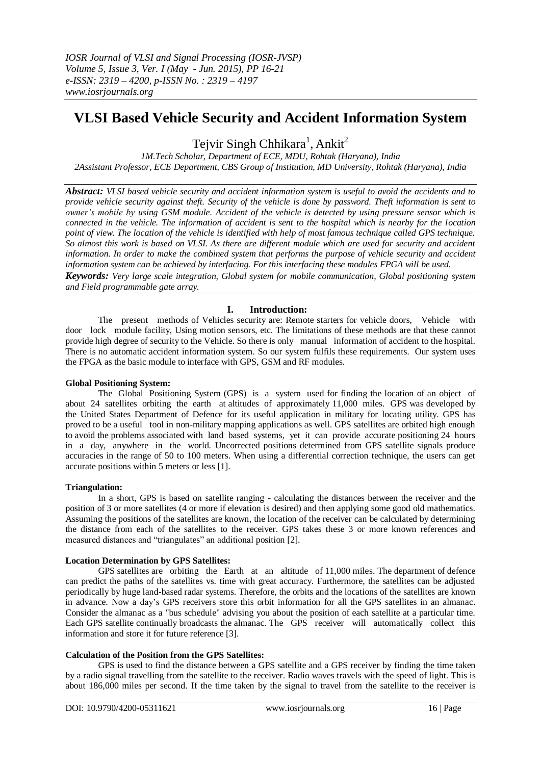# **VLSI Based Vehicle Security and Accident Information System**

Tejvir Singh Chhikara<sup>1</sup>, Ankit<sup>2</sup>

*1M.Tech Scholar, Department of ECE, MDU, Rohtak (Haryana), India 2Assistant Professor, ECE Department, CBS Group of Institution, MD University, Rohtak (Haryana), India*

*Abstract: VLSI based vehicle security and accident information system is useful to avoid the accidents and to provide vehicle security against theft. Security of the vehicle is done by password. Theft information is sent to owner's mobile by using GSM module. Accident of the vehicle is detected by using pressure sensor which is connected in the vehicle. The information of accident is sent to the hospital which is nearby for the location point of view. The location of the vehicle is identified with help of most famous technique called GPS technique. So almost this work is based on VLSI. As there are different module which are used for security and accident information. In order to make the combined system that performs the purpose of vehicle security and accident information system can be achieved by interfacing. For this interfacing these modules FPGA will be used. Keywords: Very large scale integration, Global system for mobile communication, Global positioning system* 

*and Field programmable gate array.*

# **I. Introduction:**

The present methods of Vehicles security are: Remote starters for vehicle doors, Vehicle with door lock module facility, Using motion sensors, etc. The limitations of these methods are that these cannot provide high degree of security to the Vehicle. So there is only manual information of accident to the hospital. There is no automatic accident information system. So our system fulfils these requirements. Our system uses the FPGA as the basic module to interface with GPS, GSM and RF modules.

### **Global Positioning System:**

The Global Positioning System (GPS) is a system used for finding the location of an object of about 24 satellites orbiting the earth at altitudes of approximately 11,000 miles. GPS was developed by the United States Department of Defence for its useful application in military for locating utility. GPS has proved to be a useful tool in non-military mapping applications as well. GPS satellites are orbited high enough to avoid the problems associated with land based systems, yet it can provide accurate positioning 24 hours in a day, anywhere in the world. Uncorrected positions determined from GPS satellite signals produce accuracies in the range of 50 to 100 meters. When using a differential correction technique, the users can get accurate positions within 5 meters or less [1].

# **Triangulation:**

In a short, GPS is based on satellite ranging - calculating the distances between the receiver and the position of 3 or more satellites (4 or more if elevation is desired) and then applying some good old mathematics. Assuming the positions of the satellites are known, the location of the receiver can be calculated by determining the distance from each of the satellites to the receiver. GPS takes these 3 or more known references and measured distances and "triangulates" an additional position [2].

# **Location Determination by GPS Satellites:**

GPS satellites are orbiting the Earth at an altitude of 11,000 miles. The department of defence can predict the paths of the satellites vs. time with great accuracy. Furthermore, the satellites can be adjusted periodically by huge land-based radar systems. Therefore, the orbits and the locations of the satellites are known in advance. Now a day's GPS receivers store this orbit information for all the GPS satellites in an almanac. Consider the almanac as a "bus schedule" advising you about the position of each satellite at a particular time. Each GPS satellite continually broadcasts the almanac. The GPS receiver will automatically collect this information and store it for future reference [3].

# **Calculation of the Position from the GPS Satellites:**

GPS is used to find the distance between a GPS satellite and a GPS receiver by finding the time taken by a radio signal travelling from the satellite to the receiver. Radio waves travels with the speed of light. This is about 186,000 miles per second. If the time taken by the signal to travel from the satellite to the receiver is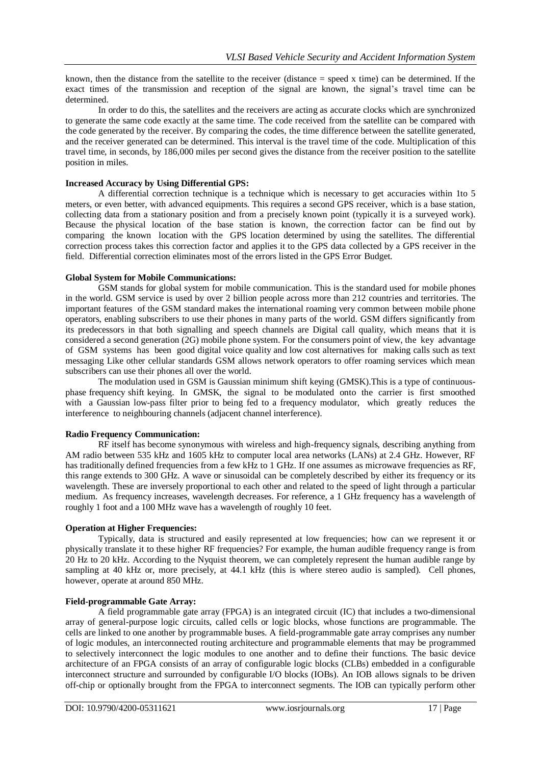known, then the distance from the satellite to the receiver (distance  $=$  speed x time) can be determined. If the exact times of the transmission and reception of the signal are known, the signal's travel time can be determined.

In order to do this, the satellites and the receivers are acting as accurate clocks which are synchronized to generate the same code exactly at the same time. The code received from the satellite can be compared with the code generated by the receiver. By comparing the codes, the time difference between the satellite generated, and the receiver generated can be determined. This interval is the travel time of the code. Multiplication of this travel time, in seconds, by 186,000 miles per second gives the distance from the receiver position to the satellite position in miles.

## **Increased Accuracy by Using Differential GPS:**

A differential correction technique is a technique which is necessary to get accuracies within 1to 5 meters, or even better, with advanced equipments. This requires a second GPS receiver, which is a base station, collecting data from a stationary position and from a precisely known point (typically it is a surveyed work). Because the physical location of the base station is known, the correction factor can be find out by comparing the known location with the GPS location determined by using the satellites. The differential correction process takes this correction factor and applies it to the GPS data collected by a GPS receiver in the field. Differential correction eliminates most of the errors listed in the GPS Error Budget.

## **Global System for Mobile Communications:**

GSM stands for global system for mobile communication. This is the standard used for mobile phones in the world. GSM service is used by over 2 billion people across more than 212 countries and territories. The important features of the GSM standard makes the international roaming very common between mobile phone operators, enabling subscribers to use their phones in many parts of the world. GSM differs significantly from its predecessors in that both signalling and speech channels are Digital call quality, which means that it is considered a second generation (2G) mobile phone system. For the consumers point of view, the key advantage of GSM systems has been good digital voice quality and low cost alternatives for making calls such as text messaging Like other cellular standards GSM allows network operators to offer roaming services which mean subscribers can use their phones all over the world.

The modulation used in GSM is Gaussian minimum shift keying (GMSK).This is a type of continuousphase frequency shift keying. In GMSK, the signal to be modulated onto the carrier is first smoothed with a Gaussian low-pass filter prior to being fed to a frequency modulator, which greatly reduces the interference to neighbouring channels (adjacent channel interference).

#### **Radio Frequency Communication:**

RF itself has become synonymous with wireless and high-frequency signals, describing anything from AM radio between 535 kHz and 1605 kHz to computer local area networks (LANs) at 2.4 GHz. However, RF has traditionally defined frequencies from a few kHz to 1 GHz. If one assumes as microwave frequencies as RF, this range extends to 300 GHz. A wave or sinusoidal can be completely described by either its frequency or its wavelength. These are inversely proportional to each other and related to the speed of light through a particular medium. As frequency increases, wavelength decreases. For reference, a 1 GHz frequency has a wavelength of roughly 1 foot and a 100 MHz wave has a wavelength of roughly 10 feet.

# **Operation at Higher Frequencies:**

Typically, data is structured and easily represented at low frequencies; how can we represent it or physically translate it to these higher RF frequencies? For example, the human audible frequency range is from 20 Hz to 20 kHz. According to the Nyquist theorem, we can completely represent the human audible range by sampling at 40 kHz or, more precisely, at 44.1 kHz (this is where stereo audio is sampled). Cell phones, however, operate at around 850 MHz.

### **Field-programmable Gate Array:**

A field programmable gate array (FPGA) is an integrated circuit (IC) that includes a two-dimensional array of general-purpose logic circuits, called cells or logic blocks, whose functions are programmable. The cells are linked to one another by programmable buses. A field-programmable gate array comprises any number of logic modules, an interconnected routing architecture and programmable elements that may be programmed to selectively interconnect the logic modules to one another and to define their functions. The basic device architecture of an FPGA consists of an array of configurable logic blocks (CLBs) embedded in a configurable interconnect structure and surrounded by configurable I/O blocks (IOBs). An IOB allows signals to be driven off-chip or optionally brought from the FPGA to interconnect segments. The IOB can typically perform other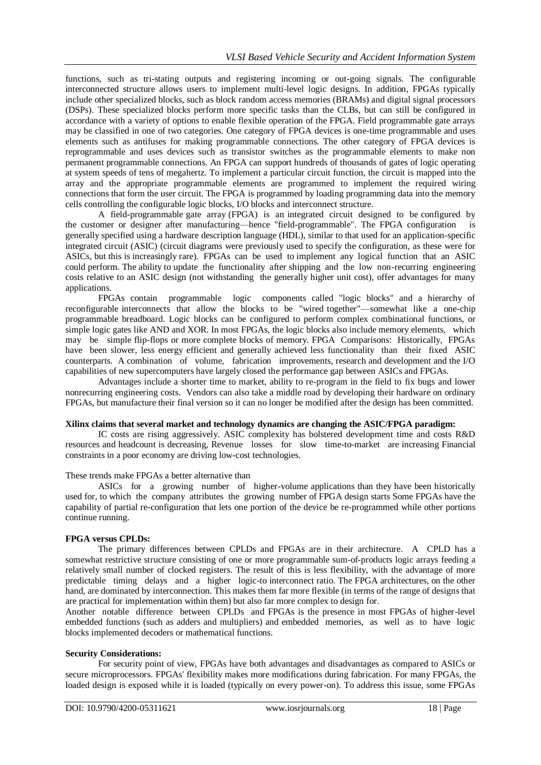functions, such as tri-stating outputs and registering incoming or out-going signals. The configurable interconnected structure allows users to implement multi-level logic designs. In addition, FPGAs typically include other specialized blocks, such as block random access memories (BRAMs) and digital signal processors (DSPs). These specialized blocks perform more specific tasks than the CLBs, but can still be configured in accordance with a variety of options to enable flexible operation of the FPGA. Field programmable gate arrays may be classified in one of two categories. One category of FPGA devices is one-time programmable and uses elements such as antifuses for making programmable connections. The other category of FPGA devices is reprogrammable and uses devices such as transistor switches as the programmable elements to make non permanent programmable connections. An FPGA can support hundreds of thousands of gates of logic operating at system speeds of tens of megahertz. To implement a particular circuit function, the circuit is mapped into the array and the appropriate programmable elements are programmed to implement the required wiring connections that form the user circuit. The FPGA is programmed by loading programming data into the memory cells controlling the configurable logic blocks, I/O blocks and interconnect structure.

A field-programmable gate array (FPGA) is an integrated circuit designed to be configured by the customer or designer after manufacturing—hence "field-programmable". The FPGA configuration is generally specified using a hardware description language (HDL), similar to that used for an application-specific integrated circuit (ASIC) (circuit diagrams were previously used to specify the configuration, as these were for ASICs, but this is increasingly rare). FPGAs can be used to implement any logical function that an ASIC could perform. The ability to update the functionality after shipping and the low non-recurring engineering costs relative to an ASIC design (not withstanding the generally higher unit cost), offer advantages for many applications.

FPGAs contain programmable logic components called "logic blocks" and a hierarchy of reconfigurable interconnects that allow the blocks to be "wired together"—somewhat like a one-chip programmable breadboard. Logic blocks can be configured to perform complex combinational functions, or simple logic gates like AND and XOR. In most FPGAs, the logic blocks also include memory elements, which may be simple flip-flops or more complete blocks of memory. FPGA Comparisons: Historically, FPGAs have been slower, less energy efficient and generally achieved less functionality than their fixed ASIC counterparts. A combination of volume, fabrication improvements, research and development and the I/O capabilities of new supercomputers have largely closed the performance gap between ASICs and FPGAs.

Advantages include a shorter time to market, ability to re-program in the field to fix bugs and lower nonrecurring engineering costs. Vendors can also take a middle road by developing their hardware on ordinary FPGAs, but manufacture their final version so it can no longer be modified after the design has been committed.

# **Xilinx claims that several market and technology dynamics are changing the ASIC/FPGA paradigm:**

IC costs are rising aggressively. ASIC complexity has bolstered development time and costs R&D resources and headcount is decreasing, Revenue losses for slow time-to-market are increasing Financial constraints in a poor economy are driving low-cost technologies.

#### These trends make FPGAs a better alternative than

ASICs for a growing number of higher-volume applications than they have been historically used for, to which the company attributes the growing number of FPGA design starts Some FPGAs have the capability of partial re-configuration that lets one portion of the device be re-programmed while other portions continue running.

#### **FPGA versus CPLDs:**

The primary differences between CPLDs and FPGAs are in their architecture. A CPLD has a somewhat restrictive structure consisting of one or more programmable sum-of-products logic arrays feeding a relatively small number of clocked registers. The result of this is less flexibility, with the advantage of more predictable timing delays and a higher logic-to interconnect ratio. The FPGA architectures, on the other hand, are dominated by interconnection. This makes them far more flexible (in terms of the range of designs that are practical for implementation within them) but also far more complex to design for.

Another notable difference between CPLDs and FPGAs is the presence in most FPGAs of higher-level embedded functions (such as adders and multipliers) and embedded memories, as well as to have logic blocks implemented decoders or mathematical functions.

#### **Security Considerations:**

For security point of view, FPGAs have both advantages and disadvantages as compared to ASICs or secure microprocessors. FPGAs' flexibility makes more modifications during fabrication. For many FPGAs, the loaded design is exposed while it is loaded (typically on every power-on). To address this issue, some FPGAs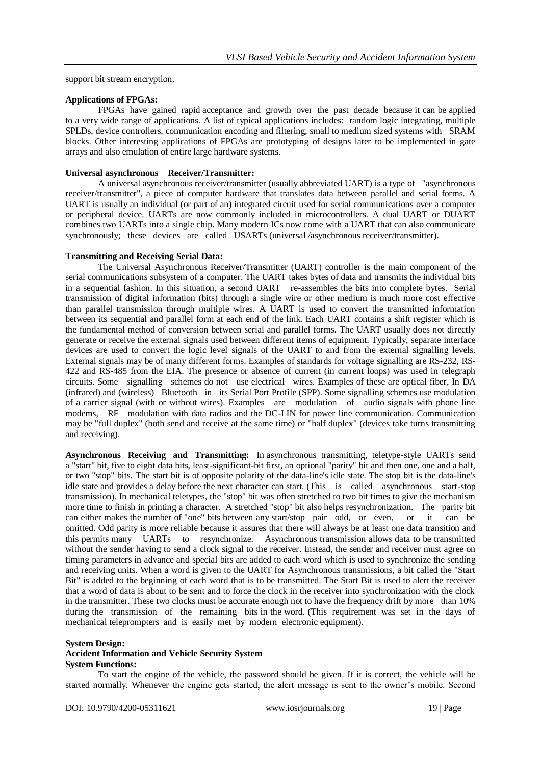support bit stream encryption.

#### **Applications of FPGAs:**

FPGAs have gained rapid acceptance and growth over the past decade because it can be applied to a very wide range of applications. A list of typical applications includes: random logic integrating, multiple SPLDs, device controllers, communication encoding and filtering, small to medium sized systems with SRAM blocks. Other interesting applications of FPGAs are prototyping of designs later to be implemented in gate arrays and also emulation of entire large hardware systems.

#### **Universal asynchronous Receiver/Transmitter:**

A universal asynchronous receiver/transmitter (usually abbreviated UART) is a type of "asynchronous receiver/transmitter", a piece of computer hardware that translates data between parallel and serial forms. A UART is usually an individual (or part of an) integrated circuit used for serial communications over a computer or peripheral device. UARTs are now commonly included in microcontrollers. A dual UART or DUART combines two UARTs into a single chip. Many modern ICs now come with a UART that can also communicate synchronously; these devices are called USARTs (universal /asynchronous receiver/transmitter).

#### **Transmitting and Receiving Serial Data:**

The Universal Asynchronous Receiver/Transmitter (UART) controller is the main component of the serial communications subsystem of a computer. The UART takes bytes of data and transmits the individual bits in a sequential fashion. In this situation, a second UART re-assembles the bits into complete bytes. Serial transmission of digital information (bits) through a single wire or other medium is much more cost effective than parallel transmission through multiple wires. A UART is used to convert the transmitted information between its sequential and parallel form at each end of the link. Each UART contains a shift register which is the fundamental method of conversion between serial and parallel forms. The UART usually does not directly generate or receive the external signals used between different items of equipment. Typically, separate interface devices are used to convert the logic level signals of the UART to and from the external signalling levels. External signals may be of many different forms. Examples of standards for voltage signalling are RS-232, RS-422 and RS-485 from the EIA. The presence or absence of current (in current loops) was used in telegraph circuits. Some signalling schemes do not use electrical wires. Examples of these are optical fiber, In DA (infrared) and (wireless) Bluetooth in its Serial Port Profile (SPP). Some signalling schemes use modulation of a carrier signal (with or without wires). Examples are modulation of audio signals with phone line modems, RF modulation with data radios and the DC-LIN for power line communication. Communication may be "full duplex" (both send and receive at the same time) or "half duplex" (devices take turns transmitting and receiving).

**Asynchronous Receiving and Transmitting:** In asynchronous transmitting, teletype-style UARTs send a "start" bit, five to eight data bits, least-significant-bit first, an optional "parity" bit and then one, one and a half, or two "stop" bits. The start bit is of opposite polarity of the data-line's idle state. The stop bit is the data-line's idle state and provides a delay before the next character can start. (This is called asynchronous start-stop transmission). In mechanical teletypes, the "stop" bit was often stretched to two bit times to give the mechanism more time to finish in printing a character. A stretched "stop" bit also helps resynchronization. The parity bit can either makes the number of "one" bits between any start/stop pair odd, or even, or it can be omitted. Odd parity is more reliable because it assures that there will always be at least one data transition and this permits many UARTs to resynchronize. Asynchronous transmission allows data to be transmitted without the sender having to send a clock signal to the receiver. Instead, the sender and receiver must agree on timing parameters in advance and special bits are added to each word which is used to synchronize the sending and receiving units. When a word is given to the UART for Asynchronous transmissions, a bit called the "Start Bit" is added to the beginning of each word that is to be transmitted. The Start Bit is used to alert the receiver that a word of data is about to be sent and to force the clock in the receiver into synchronization with the clock in the transmitter. These two clocks must be accurate enough not to have the frequency drift by more than 10% during the transmission of the remaining bits in the word. (This requirement was set in the days of mechanical teleprompters and is easily met by modern electronic equipment).

#### **System Design:**

#### **Accident Information and Vehicle Security System System Functions:**

To start the engine of the vehicle, the password should be given. If it is correct, the vehicle will be started normally. Whenever the engine gets started, the alert message is sent to the owner's mobile. Second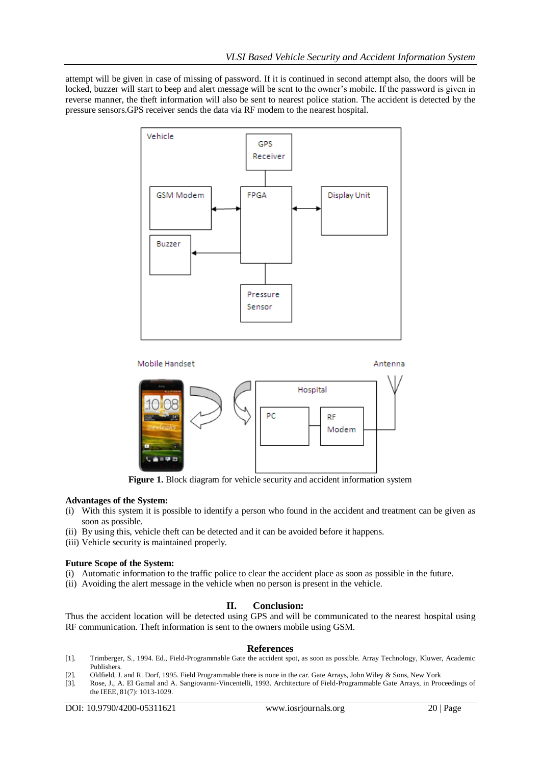attempt will be given in case of missing of password. If it is continued in second attempt also, the doors will be locked, buzzer will start to beep and alert message will be sent to the owner's mobile. If the password is given in reverse manner, the theft information will also be sent to nearest police station. The accident is detected by the pressure sensors.GPS receiver sends the data via RF modem to the nearest hospital.





**Figure 1.** Block diagram for vehicle security and accident information system

#### **Advantages of the System:**

- (i) With this system it is possible to identify a person who found in the accident and treatment can be given as soon as possible.
- (ii) By using this, vehicle theft can be detected and it can be avoided before it happens.
- (iii) Vehicle security is maintained properly.

#### **Future Scope of the System:**

- (i) Automatic information to the traffic police to clear the accident place as soon as possible in the future.
- (ii) Avoiding the alert message in the vehicle when no person is present in the vehicle.

# **II. Conclusion:**

Thus the accident location will be detected using GPS and will be communicated to the nearest hospital using RF communication. Theft information is sent to the owners mobile using GSM.

#### **References**

- [1]. Trimberger, S., 1994. Ed., Field-Programmable Gate the accident spot, as soon as possible. Array Technology, Kluwer, Academic Publishers.
- [2]. Oldfield, J. and R. Dorf, 1995. Field Programmable there is none in the car. Gate Arrays, John Wiley & Sons, New York
- [3]. Rose, J., A. El Gamal and A. Sangiovanni-Vincentelli, 1993. Architecture of Field-Programmable Gate Arrays, in Proceedings of the IEEE, 81(7): 1013-1029.